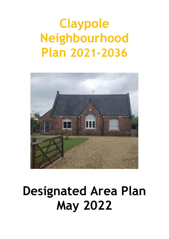# **Claypole Neighbourhood Plan 2021-2036**



# **Designated Area Plan May 2022**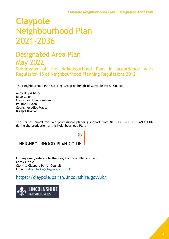# **Claypole** Neighbourhood Plan 2021-2036

### Designated Area Plan May 2022

Submission of the Neighbourhood Plan in accordance with Regulation 15 of Neighbourhood Planning Regulations 2012

The Neighbourhood Plan Steering Group on behalf of Claypole Parish Council:

Andy Hey (Chair) Dave Coxe Councillor John Freeman Pauline Luxton Councillor Alice Maggs Bridget Rosewell

The Parish Council received professional planning support from NEIGHBOURHOOD-PLAN.CO.UK during the production of this Neighbourhood Plan.

#### NEIGHBOURHOOD-PLAN.CO.UK

For any query relating to the Neighbourhood Plan contact: Cathy Clarke Clerk to Claypole Parish Council Email: [cathy.clarke@claypolepc.org.uk](mailto:cathy.clarke@claypolepc.org.uk)

<https://claypole.parish.lincolnshire.gov.uk/>

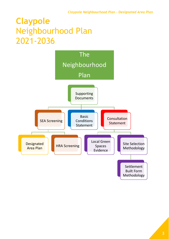# **Claypole** Neighbourhood Plan 2021-2036

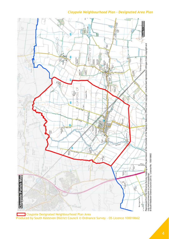#### *Claypole Neighbourhood Plan – Designated Area Plan*



**Claypole Designated Neighbourhood Plan Area** Produced by South Kesteven District Council © Ordnance Survey - OS Licence 100018662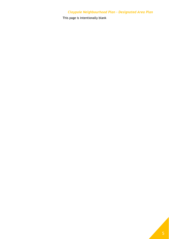#### *Claypole Neighbourhood Plan – Designated Area Plan*

This page is intentionally blank